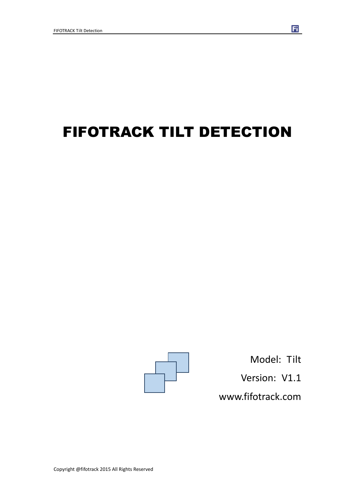# FIFOTRACK TILT DETECTION



Model: Tilt Version: V1.1 www.fifotrack.com

Fi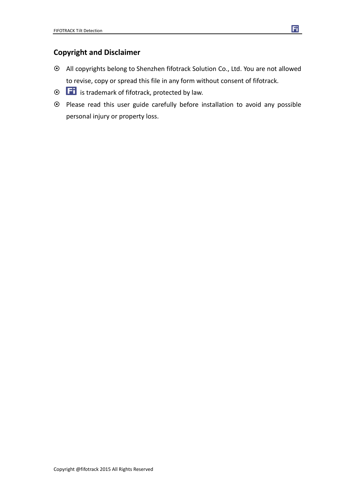### **Copyright and Disclaimer**

- All copyrights belong to Shenzhen fifotrack Solution Co., Ltd. You are not allowed to revise, copy or spread this file in any form without consent of fifotrack.
- $\odot$   $\Box$  is trademark of fifotrack, protected by law.
- Please read this user guide carefully before installation to avoid any possible personal injury or property loss.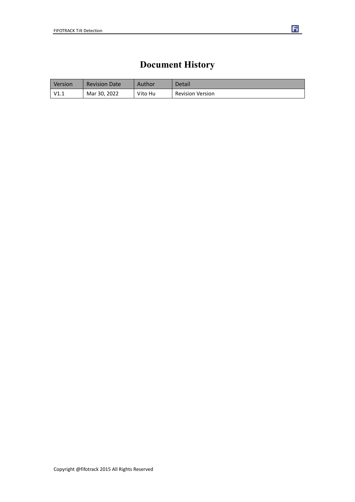## **Document History**

| Version | <b>Revision Date</b> | Author  | Detail                  |
|---------|----------------------|---------|-------------------------|
| V1.1    | Mar 30, 2022         | Vito Hu | <b>Revision Version</b> |

団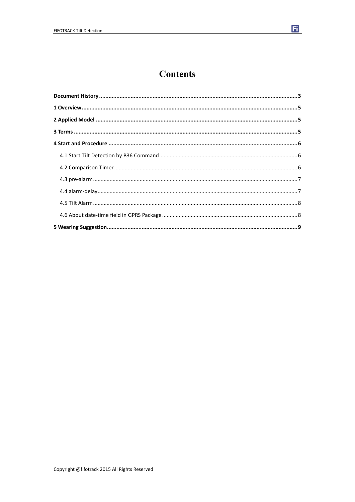

### **Contents**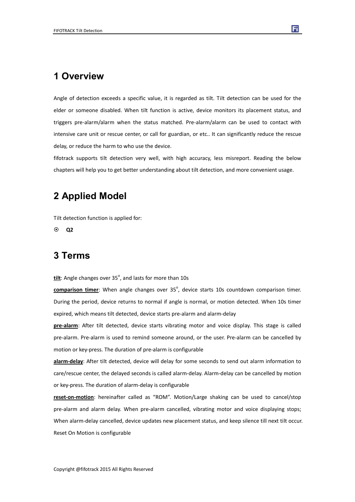### **1 Overview**

Angle of detection exceeds a specific value, it is regarded as tilt. Tilt detection can be used for the elder or someone disabled. When tilt function is active, device monitors its placement status, and triggers pre-alarm/alarm when the status matched. Pre-alarm/alarm can be used to contact with intensive care unit or rescue center, or call for guardian, or etc.. It can significantly reduce the rescue delay, or reduce the harm to who use the device.

fifotrack supports tilt detection very well, with high accuracy, less misreport. Reading the below chapters will help you to get better understanding about tilt detection, and more convenient usage.

### **2 Applied Model**

Tilt detection function is applied for:

**Q2**

### **3 Terms**

tilt: Angle changes over 35<sup>°</sup>, and lasts for more than 10s

comparison timer: When angle changes over 35°, device starts 10s countdown comparison timer. During the period, device returns to normal if angle is normal, or motion detected. When 10s timer expired, which means tilt detected, device starts pre-alarm and alarm-delay

**pre-alarm**: After tilt detected, device starts vibrating motor and voice display. This stage is called pre-alarm. Pre-alarm is used to remind someone around, or the user. Pre-alarm can be cancelled by motion or key-press. The duration of pre-alarm is configurable

**alarm-delay**: After tilt detected, device will delay for some seconds to send out alarm information to care/rescue center, the delayed seconds is called alarm-delay. Alarm-delay can be cancelled by motion or key-press. The duration of alarm-delay is configurable

**reset-on-motion**: hereinafter called as "ROM". Motion/Large shaking can be used to cancel/stop pre-alarm and alarm delay. When pre-alarm cancelled, vibrating motor and voice displaying stops; When alarm-delay cancelled, device updates new placement status, and keep silence till next tilt occur. Reset On Motion is configurable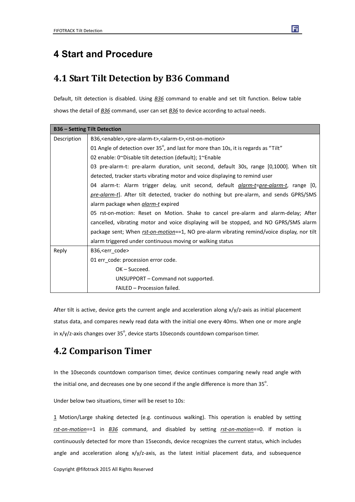### **4 Start and Procedure**

### **4.1 Start Tilt Detection by B36 Command**

Default, tilt detection is disabled. Using *B36* command to enable and set tilt function. Below table shows the detail of *B36* command, user can set *B36* to device according to actual needs.

|             | <b>B36 - Setting Tilt Detection</b>                                                                    |  |  |
|-------------|--------------------------------------------------------------------------------------------------------|--|--|
| Description | B36, <enable>,<pre-alarm-t>,<alarm-t>,<rst-on-motion></rst-on-motion></alarm-t></pre-alarm-t></enable> |  |  |
|             | 01 Angle of detection over 35°, and last for more than 10s, it is regards as "Tilt"                    |  |  |
|             | 02 enable: 0~Disable tilt detection (default); 1~Enable                                                |  |  |
|             | 03 pre-alarm-t: pre-alarm duration, unit second, default 30s, range [0,1000]. When tilt                |  |  |
|             | detected, tracker starts vibrating motor and voice displaying to remind user                           |  |  |
|             | 04 alarm-t: Alarm trigger delay, unit second, default <i>glarm-t=pre-alarm-t,</i> range [0,            |  |  |
|             | pre-alarm-t]. After tilt detected, tracker do nothing but pre-alarm, and sends GPRS/SMS                |  |  |
|             | alarm package when <i>alarm-t</i> expired                                                              |  |  |
|             | 05 rst-on-motion: Reset on Motion. Shake to cancel pre-alarm and alarm-delay; After                    |  |  |
|             | cancelled, vibrating motor and voice displaying will be stopped, and NO GPRS/SMS alarm                 |  |  |
|             | package sent; When rst-on-motion==1, NO pre-alarm vibrating remind/voice display, nor tilt             |  |  |
|             | alarm triggered under continuous moving or walking status                                              |  |  |
| Reply       | B36, <err code=""></err>                                                                               |  |  |
|             | 01 err_code: procession error code.                                                                    |  |  |
|             | OK-Succeed.                                                                                            |  |  |
|             | UNSUPPORT – Command not supported.                                                                     |  |  |
|             | FAILED - Procession failed.                                                                            |  |  |

After tilt is active, device gets the current angle and acceleration along x/y/z-axis as initial placement status data, and compares newly read data with the initial one every 40ms. When one or more angle in x/y/z-axis changes over 35<sup>°</sup>, device starts 10seconds countdown comparison timer.

### **4.2 Comparison Timer**

In the 10seconds countdown comparison timer, device continues comparing newly read angle with the initial one, and decreases one by one second if the angle difference is more than 35 $^{\circ}$ .

Under below two situations, timer will be reset to 10s:

1 Motion/Large shaking detected (e.g. continuous walking). This operation is enabled by setting *rst-on-motion*==1 in *B36* command, and disabled by setting *rst-on-motion*==0. If motion is continuously detected for more than 15seconds, device recognizes the current status, which includes angle and acceleration along  $x/y/z$ -axis, as the latest initial placement data, and subsequence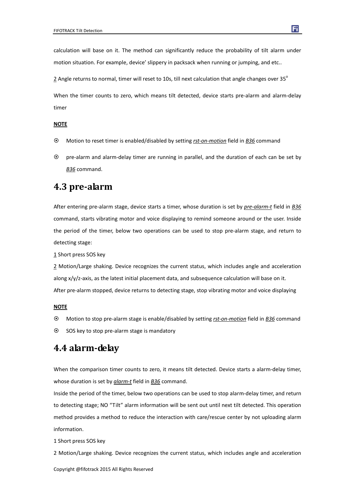calculation will base on it. The method can significantly reduce the probability of tilt alarm under motion situation. For example, device' slippery in packsack when running or jumping, and etc..

2 Angle returns to normal, timer will reset to 10s, till next calculation that angle changes over 35°

When the timer counts to zero, which means tilt detected, device starts pre-alarm and alarm-delay timer

#### **NOTE**

- Motion to reset timer is enabled/disabled by setting *rst-on-motion* field in *B36* command
- pre-alarm and alarm-delay timer are running in parallel, and the duration of each can be set by *B36* command.

### **4.3 pre-alarm**

After entering pre-alarm stage, device starts a timer, whose duration is set by *pre-alarm-t* field in *B36* command, starts vibrating motor and voice displaying to remind someone around or the user. Inside the period of the timer, below two operations can be used to stop pre-alarm stage, and return to detecting stage:

1 Short press SOS key

2 Motion/Large shaking. Device recognizes the current status, which includes angle and acceleration along x/y/z-axis, as the latest initial placement data, and subsequence calculation will base on it. After pre-alarm stopped, device returns to detecting stage, stop vibrating motor and voice displaying

#### **NOTE**

- Motion to stop pre-alarm stage is enable/disabled by setting *rst-on-motion* field in *B36* command
- $\odot$  SOS key to stop pre-alarm stage is mandatory

### **4.4 alarm-delay**

When the comparison timer counts to zero, it means tilt detected. Device starts a alarm-delay timer, whose duration is set by *alarm-t* field in *B36* command.

Inside the period of the timer, below two operations can be used to stop alarm-delay timer, and return to detecting stage; NO "Tilt" alarm information will be sent out until next tilt detected. This operation method provides a method to reduce the interaction with care/rescue center by not uploading alarm information.

1 Short press SOS key

2 Motion/Large shaking. Device recognizes the current status, which includes angle and acceleration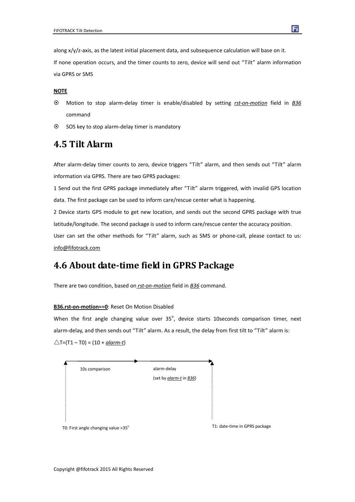along x/y/z-axis, as the latest initial placement data, and subsequence calculation will base on it. If none operation occurs, and the timer counts to zero, device will send out "Tilt" alarm information via GPRS or SMS

#### **NOTE**

- Motion to stop alarm-delay timer is enable/disabled by setting *rst-on-motion* field in *B36* command
- $\odot$  SOS key to stop alarm-delay timer is mandatory

### **4.5 Tilt Alarm**

After alarm-delay timer counts to zero, device triggers "Tilt" alarm, and then sends out "Tilt" alarm information via GPRS. There are two GPRS packages:

1 Send out the first GPRS package immediately after "Tilt" alarm triggered, with invalid GPS location data. The first package can be used to inform care/rescue center what is happening.

2 Device starts GPS module to get new location, and sends out the second GPRS package with true latitude/longitude. The second package is used to inform care/rescue center the accuracy position.

User can set the other methods for "Tilt" alarm, such as SMS or phone-call, please contact to us: info@fifotrack.com

### **4.6 About date-time field in GPRS Package**

There are two condition, based on *rst-on-motion* field in *B36* command.

#### **B36.rst-on-motion==0**: Reset On Motion Disabled

When the first angle changing value over  $35^\circ$ , device starts 10seconds comparison timer, next alarm-delay, and then sends out "Tilt" alarm. As a result, the delay from first tilt to "Tilt" alarm is:  $\triangle T = (T1 - T0) = (10 + alarm-t)$